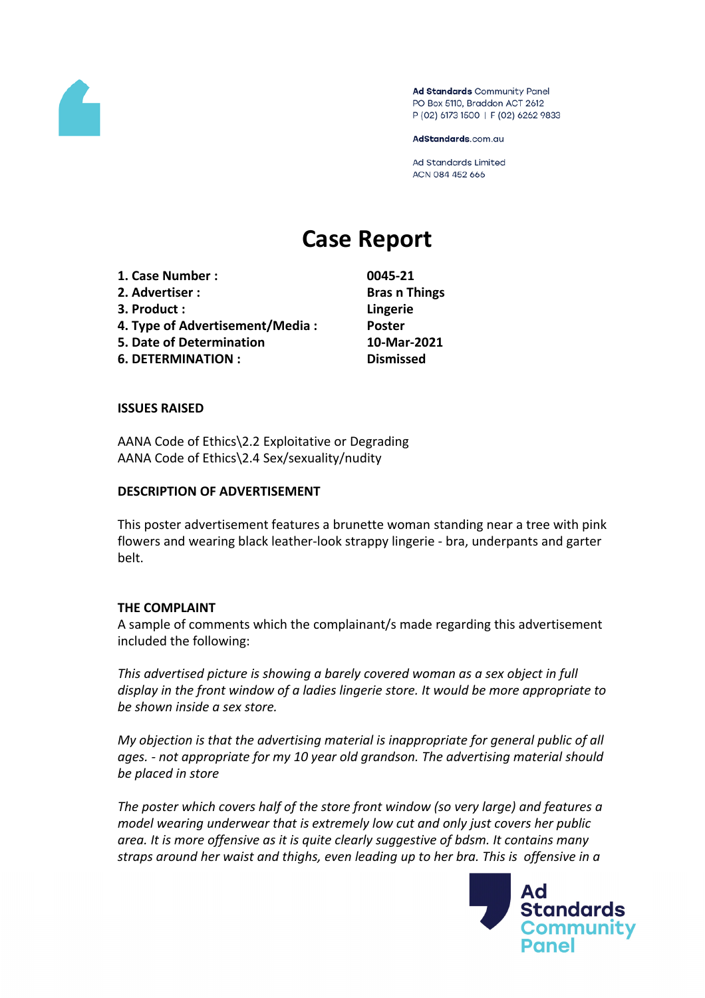

Ad Standards Community Panel PO Box 5110, Braddon ACT 2612 P (02) 6173 1500 | F (02) 6262 9833

AdStandards.com.au

**Ad Standards Limited** ACN 084 452 666

# **Case Report**

**1. Case Number : 0045-21 2. Advertiser : Bras n Things 3. Product : Lingerie 4. Type of Advertisement/Media : Poster 5. Date of Determination 10-Mar-2021 6. DETERMINATION : Dismissed**

## **ISSUES RAISED**

AANA Code of Ethics\2.2 Exploitative or Degrading AANA Code of Ethics\2.4 Sex/sexuality/nudity

#### **DESCRIPTION OF ADVERTISEMENT**

This poster advertisement features a brunette woman standing near a tree with pink flowers and wearing black leather-look strappy lingerie - bra, underpants and garter belt.

#### **THE COMPLAINT**

A sample of comments which the complainant/s made regarding this advertisement included the following:

*This advertised picture is showing a barely covered woman as a sex object in full display in the front window of a ladies lingerie store. It would be more appropriate to be shown inside a sex store.*

*My objection is that the advertising material is inappropriate for general public of all ages. - not appropriate for my 10 year old grandson. The advertising material should be placed in store*

*The poster which covers half of the store front window (so very large) and features a model wearing underwear that is extremely low cut and only just covers her public area. It is more offensive as it is quite clearly suggestive of bdsm. It contains many straps around her waist and thighs, even leading up to her bra. This is offensive in a*

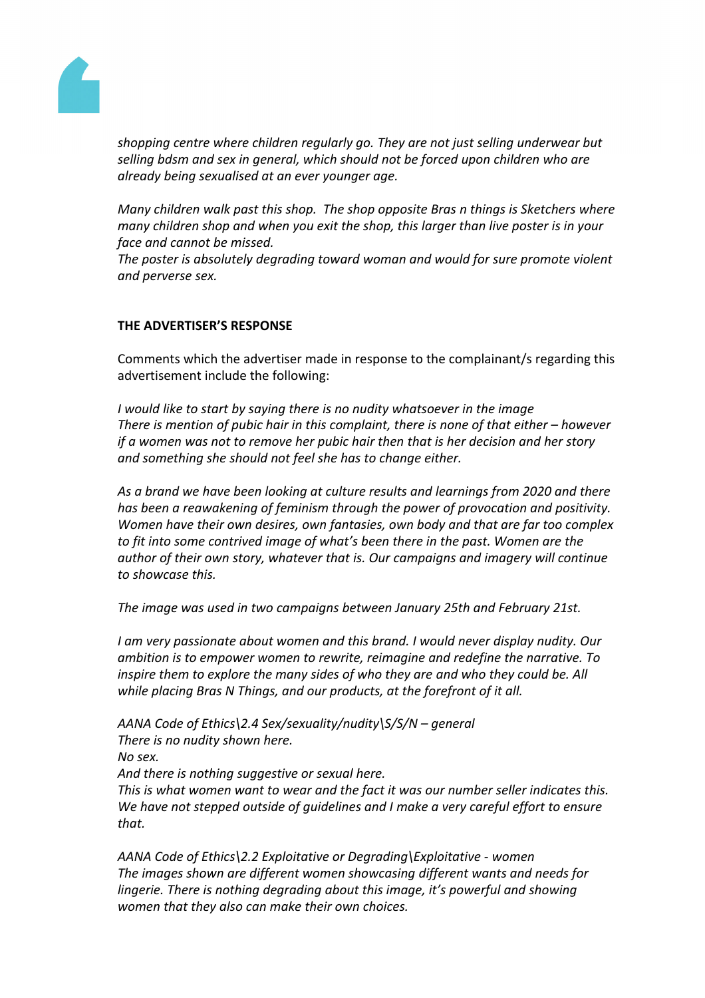

*shopping centre where children regularly go. They are not just selling underwear but selling bdsm and sex in general, which should not be forced upon children who are already being sexualised at an ever younger age.*

*Many children walk past this shop. The shop opposite Bras n things is Sketchers where many children shop and when you exit the shop, this larger than live poster is in your face and cannot be missed.*

*The poster is absolutely degrading toward woman and would for sure promote violent and perverse sex.*

## **THE ADVERTISER'S RESPONSE**

Comments which the advertiser made in response to the complainant/s regarding this advertisement include the following:

*I would like to start by saying there is no nudity whatsoever in the image There is mention of pubic hair in this complaint, there is none of that either – however if a women was not to remove her pubic hair then that is her decision and her story and something she should not feel she has to change either.*

*As a brand we have been looking at culture results and learnings from 2020 and there has been a reawakening of feminism through the power of provocation and positivity. Women have their own desires, own fantasies, own body and that are far too complex to fit into some contrived image of what's been there in the past. Women are the author of their own story, whatever that is. Our campaigns and imagery will continue to showcase this.*

*The image was used in two campaigns between January 25th and February 21st.*

*I am very passionate about women and this brand. I would never display nudity. Our ambition is to empower women to rewrite, reimagine and redefine the narrative. To inspire them to explore the many sides of who they are and who they could be. All while placing Bras N Things, and our products, at the forefront of it all.*

*AANA Code of Ethics\2.4 Sex/sexuality/nudity\S/S/N – general There is no nudity shown here. No sex.*

*And there is nothing suggestive or sexual here.*

*This is what women want to wear and the fact it was our number seller indicates this. We have not stepped outside of guidelines and I make a very careful effort to ensure that.*

*AANA Code of Ethics\2.2 Exploitative or Degrading\Exploitative - women The images shown are different women showcasing different wants and needs for lingerie. There is nothing degrading about this image, it's powerful and showing women that they also can make their own choices.*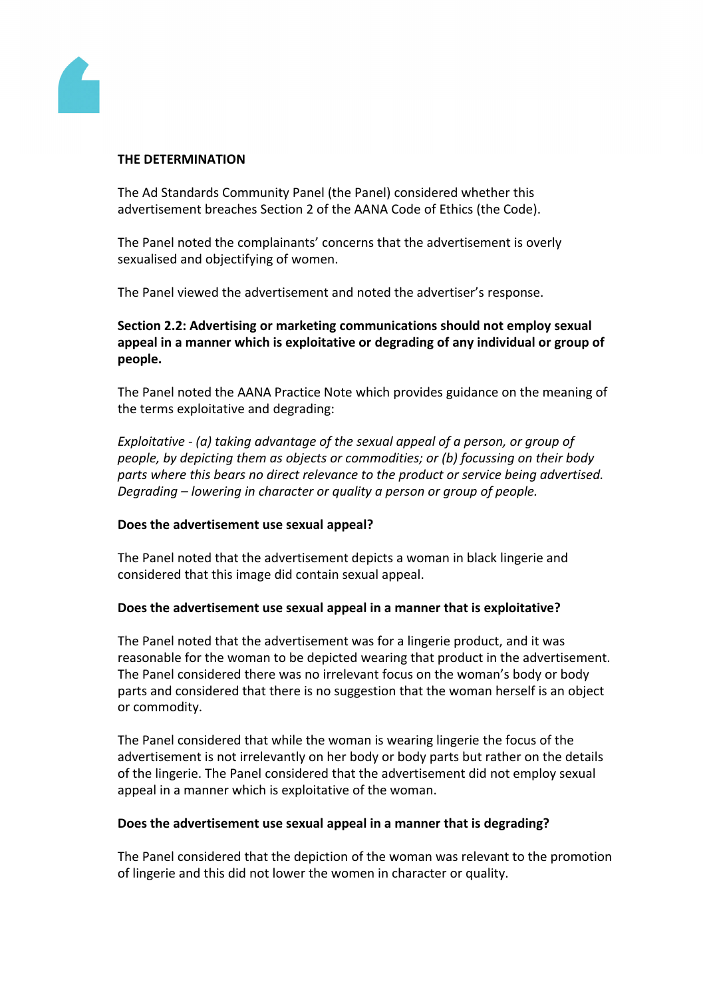

## **THE DETERMINATION**

The Ad Standards Community Panel (the Panel) considered whether this advertisement breaches Section 2 of the AANA Code of Ethics (the Code).

The Panel noted the complainants' concerns that the advertisement is overly sexualised and objectifying of women.

The Panel viewed the advertisement and noted the advertiser's response.

# **Section 2.2: Advertising or marketing communications should not employ sexual appeal in a manner which is exploitative or degrading of any individual or group of people.**

The Panel noted the AANA Practice Note which provides guidance on the meaning of the terms exploitative and degrading:

*Exploitative - (a) taking advantage of the sexual appeal of a person, or group of people, by depicting them as objects or commodities; or (b) focussing on their body parts where this bears no direct relevance to the product or service being advertised. Degrading – lowering in character or quality a person or group of people.*

# **Does the advertisement use sexual appeal?**

The Panel noted that the advertisement depicts a woman in black lingerie and considered that this image did contain sexual appeal.

# **Does the advertisement use sexual appeal in a manner that is exploitative?**

The Panel noted that the advertisement was for a lingerie product, and it was reasonable for the woman to be depicted wearing that product in the advertisement. The Panel considered there was no irrelevant focus on the woman's body or body parts and considered that there is no suggestion that the woman herself is an object or commodity.

The Panel considered that while the woman is wearing lingerie the focus of the advertisement is not irrelevantly on her body or body parts but rather on the details of the lingerie. The Panel considered that the advertisement did not employ sexual appeal in a manner which is exploitative of the woman.

# **Does the advertisement use sexual appeal in a manner that is degrading?**

The Panel considered that the depiction of the woman was relevant to the promotion of lingerie and this did not lower the women in character or quality.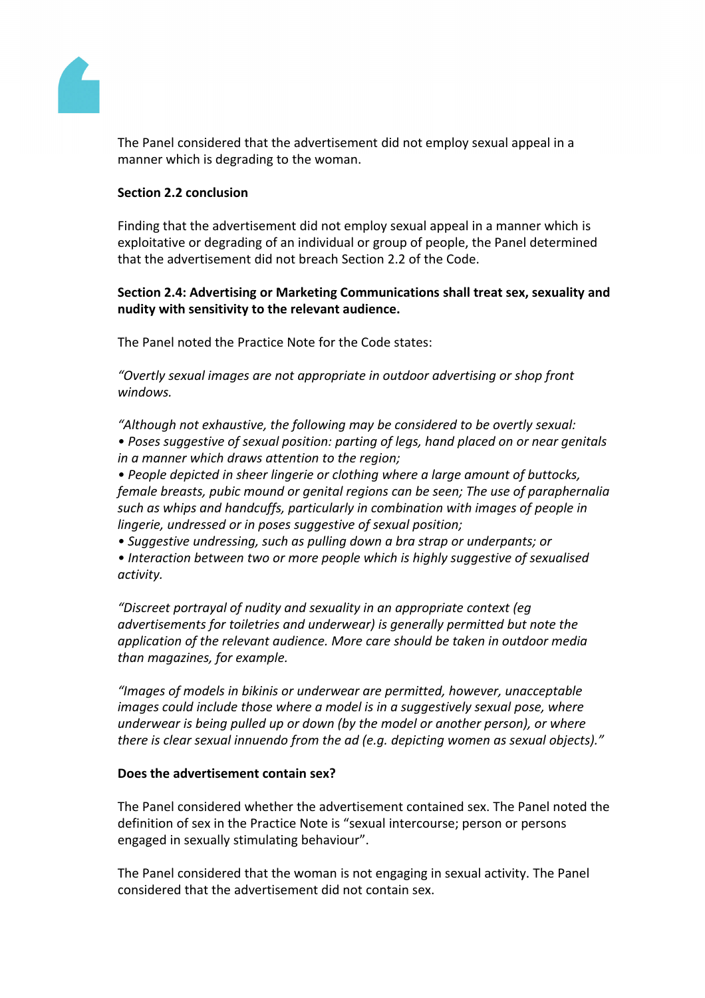

The Panel considered that the advertisement did not employ sexual appeal in a manner which is degrading to the woman.

## **Section 2.2 conclusion**

Finding that the advertisement did not employ sexual appeal in a manner which is exploitative or degrading of an individual or group of people, the Panel determined that the advertisement did not breach Section 2.2 of the Code.

**Section 2.4: Advertising or Marketing Communications shall treat sex, sexuality and nudity with sensitivity to the relevant audience.**

The Panel noted the Practice Note for the Code states:

*"Overtly sexual images are not appropriate in outdoor advertising or shop front windows.*

*"Although not exhaustive, the following may be considered to be overtly sexual: • Poses suggestive of sexual position: parting of legs, hand placed on or near genitals in a manner which draws attention to the region;*

*• People depicted in sheer lingerie or clothing where a large amount of buttocks, female breasts, pubic mound or genital regions can be seen; The use of paraphernalia such as whips and handcuffs, particularly in combination with images of people in lingerie, undressed or in poses suggestive of sexual position;*

*• Suggestive undressing, such as pulling down a bra strap or underpants; or*

*• Interaction between two or more people which is highly suggestive of sexualised activity.*

*"Discreet portrayal of nudity and sexuality in an appropriate context (eg advertisements for toiletries and underwear) is generally permitted but note the application of the relevant audience. More care should be taken in outdoor media than magazines, for example.*

*"Images of models in bikinis or underwear are permitted, however, unacceptable images could include those where a model is in a suggestively sexual pose, where underwear is being pulled up or down (by the model or another person), or where there is clear sexual innuendo from the ad (e.g. depicting women as sexual objects)."*

## **Does the advertisement contain sex?**

The Panel considered whether the advertisement contained sex. The Panel noted the definition of sex in the Practice Note is "sexual intercourse; person or persons engaged in sexually stimulating behaviour".

The Panel considered that the woman is not engaging in sexual activity. The Panel considered that the advertisement did not contain sex.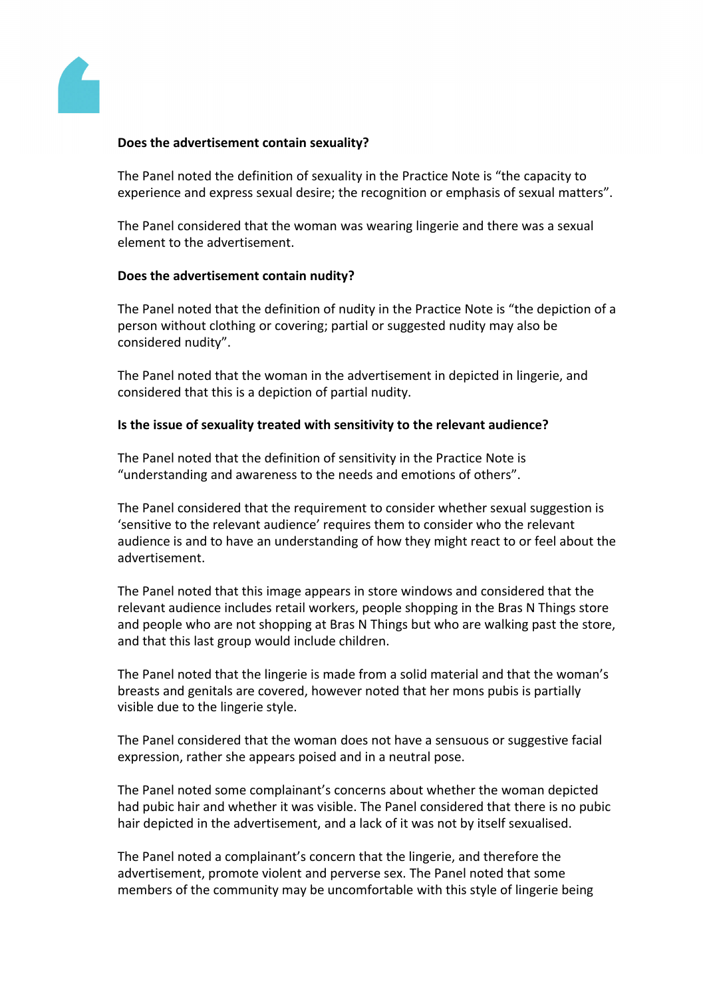

## **Does the advertisement contain sexuality?**

The Panel noted the definition of sexuality in the Practice Note is "the capacity to experience and express sexual desire; the recognition or emphasis of sexual matters".

The Panel considered that the woman was wearing lingerie and there was a sexual element to the advertisement.

## **Does the advertisement contain nudity?**

The Panel noted that the definition of nudity in the Practice Note is "the depiction of a person without clothing or covering; partial or suggested nudity may also be considered nudity".

The Panel noted that the woman in the advertisement in depicted in lingerie, and considered that this is a depiction of partial nudity.

## **Is the issue of sexuality treated with sensitivity to the relevant audience?**

The Panel noted that the definition of sensitivity in the Practice Note is "understanding and awareness to the needs and emotions of others".

The Panel considered that the requirement to consider whether sexual suggestion is 'sensitive to the relevant audience' requires them to consider who the relevant audience is and to have an understanding of how they might react to or feel about the advertisement.

The Panel noted that this image appears in store windows and considered that the relevant audience includes retail workers, people shopping in the Bras N Things store and people who are not shopping at Bras N Things but who are walking past the store, and that this last group would include children.

The Panel noted that the lingerie is made from a solid material and that the woman's breasts and genitals are covered, however noted that her mons pubis is partially visible due to the lingerie style.

The Panel considered that the woman does not have a sensuous or suggestive facial expression, rather she appears poised and in a neutral pose.

The Panel noted some complainant's concerns about whether the woman depicted had pubic hair and whether it was visible. The Panel considered that there is no pubic hair depicted in the advertisement, and a lack of it was not by itself sexualised.

The Panel noted a complainant's concern that the lingerie, and therefore the advertisement, promote violent and perverse sex. The Panel noted that some members of the community may be uncomfortable with this style of lingerie being